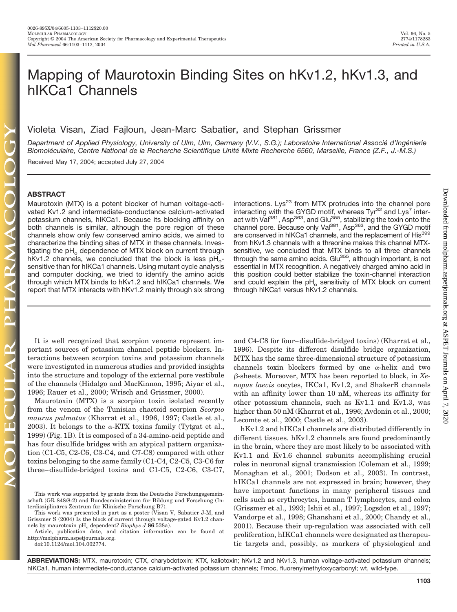# Mapping of Maurotoxin Binding Sites on hKv1.2, hKv1.3, and hIKCa1 Channels

Violeta Visan, Ziad Fajloun, Jean-Marc Sabatier, and Stephan Grissmer

Department of Applied Physiology, University of Ulm, Ulm, Germany (V.V., S.G.); Laboratoire International Associé d'Ingénierie *Biomole´ culaire, Centre National de la Recherche Scientifique Unite´ Mixte Recherche 6560, Marseille, France (Z.F., J.-M.S.)*

Received May 17, 2004; accepted July 27, 2004

#### **ABSTRACT**

Maurotoxin (MTX) is a potent blocker of human voltage-activated Kv1.2 and intermediate-conductance calcium-activated potassium channels, hIKCa1. Because its blocking affinity on both channels is similar, although the pore region of these channels show only few conserved amino acids, we aimed to characterize the binding sites of MTX in these channels. Investigating the pH<sub>o</sub> dependence of MTX block on current through hKv1.2 channels, we concluded that the block is less  $pH_{o}$ sensitive than for hIKCa1 channels. Using mutant cycle analysis and computer docking, we tried to identify the amino acids through which MTX binds to hKv1.2 and hIKCa1 channels. We report that MTX interacts with hKv1.2 mainly through six strong

It is well recognized that scorpion venoms represent important sources of potassium channel peptide blockers. Interactions between scorpion toxins and potassium channels were investigated in numerous studies and provided insights into the structure and topology of the external pore vestibule of the channels (Hidalgo and MacKinnon, 1995; Aiyar et al., 1996; Rauer et al., 2000; Wrisch and Grissmer, 2000).

Maurotoxin (MTX) is a scorpion toxin isolated recently from the venom of the Tunisian chactoid scorpion *Scorpio maurus palmatus* (Kharrat et al., 1996, 1997; Castle et al., 2003). It belongs to the  $\alpha$ -KTX toxins family (Tytgat et al., 1999) (Fig. 1B). It is composed of a 34-amino-acid peptide and has four disulfide bridges with an atypical pattern organization (C1-C5, C2-C6, C3-C4, and C7-C8) compared with other toxins belonging to the same family (C1-C4, C2-C5, C3-C6 for three– disulfide-bridged toxins and C1-C5, C2-C6, C3-C7, interactions. Lys<sup>23</sup> from MTX protrudes into the channel pore interacting with the GYGD motif, whereas Tyr<sup>32</sup> and Lys<sup>7</sup> interact with Val<sup>381</sup>, Asp<sup>363</sup>, and Glu<sup>355</sup>, stabilizing the toxin onto the channel pore. Because only Val<sup>381</sup>, Asp<sup>363</sup>, and the GYGD motif are conserved in hIKCa1 channels, and the replacement of His<sup>399</sup> from hKv1.3 channels with a threonine makes this channel MTXsensitive, we concluded that MTX binds to all three channels through the same amino acids. Glu<sup>355</sup>, although important, is not essential in MTX recognition. A negatively charged amino acid in this position could better stabilize the toxin-channel interaction and could explain the  $pH<sub>o</sub>$  sensitivity of MTX block on current through hIKCa1 versus hKv1.2 channels.

and C4-C8 for four– disulfide-bridged toxins) (Kharrat et al., 1996). Despite its different disulfide bridge organization, MTX has the same three-dimensional structure of potassium channels toxin blockers formed by one  $\alpha$ -helix and two --sheets. Moreover, MTX has been reported to block, in *Xenopus laevis* oocytes, IKCa1, Kv1.2, and ShakerB channels with an affinity lower than 10 nM, whereas its affinity for other potassium channels, such as Kv1.1 and Kv1.3, was higher than 50 nM (Kharrat et al., 1996; Avdonin et al., 2000; Lecomte et al., 2000; Castle et al., 2003).

hKv1.2 and hIKCa1 channels are distributed differently in different tissues. hKv1.2 channels are found predominantly in the brain, where they are most likely to be associated with Kv1.1 and Kv1.6 channel subunits accomplishing crucial roles in neuronal signal transmission (Coleman et al., 1999; Monaghan et al., 2001; Dodson et al., 2003). In contrast, hIKCa1 channels are not expressed in brain; however, they have important functions in many peripheral tissues and cells such as erythrocytes, human T lymphocytes, and colon (Grissmer et al., 1993; Ishii et al., 1997; Logsdon et al., 1997; Vandorpe et al., 1998; Ghanshani et al., 2000; Chandy et al., 2001). Because their up-regulation was associated with cell proliferation, hIKCa1 channels were designated as therapeutic targets and, possibly, as markers of physiological and

**ABBREVIATIONS:** MTX, maurotoxin; CTX, charybdotoxin; KTX, kaliotoxin; hKv1.2 and hKv1.3, human voltage-activated potassium channels; hIKCa1, human intermediate-conductance calcium-activated potassium channels; Fmoc, fluorenylmethyloxycarbonyl; wt, wild-type.

This work was supported by grants from the Deutsche Forschungsgemeinschaft (GR 848/8-2) and Bundesministerium für Bildung und Forschung (Interdisziplinäres Zentrum für Klinische Forschung B7).

This work was presented in part as a poster (Visan V, Sabatier J-M, and Grissmer S (2004) Is the block of current through voltage-gated Kv1.2 channels by maurotoxin pH<sub>o</sub> dependent? *Biophys J* 86:538a).

Article, publication date, and citation information can be found at http://molpharm.aspetjournals.org. doi:10.1124/mol.104.002774.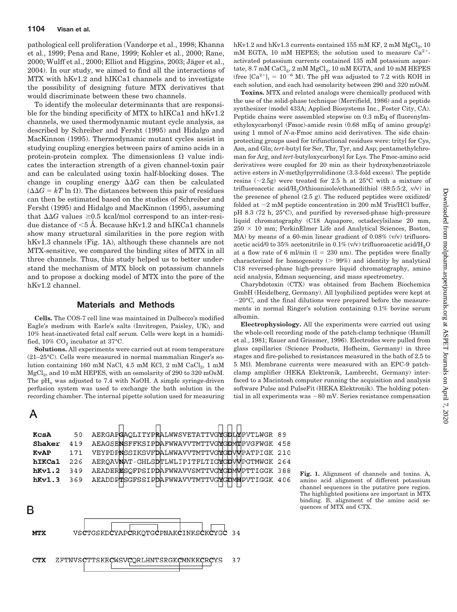pathological cell proliferation (Vandorpe et al., 1998; Khanna et al., 1999; Pena and Rane, 1999; Kohler et al., 2000; Rane, 2000; Wulff et al., 2000; Elliot and Higgins, 2003; Jäger et al., 2004). In our study, we aimed to find all the interactions of MTX with hKv1.2 and hIKCa1 channels and to investigate the possibility of designing future MTX derivatives that would discriminate between these two channels.

To identify the molecular determinants that are responsible for the binding specificity of MTX to hIKCa1 and hKv1.2 channels, we used thermodynamic mutant cycle analysis, as described by Schreiber and Fersht (1995) and Hidalgo and MacKinnon (1995). Thermodynamic mutant cycles assist in studying coupling energies between pairs of amino acids in a protein-protein complex. The dimensionless  $\Omega$  value indicates the interaction strength of a given channel-toxin pair and can be calculated using toxin half-blocking doses. The change in coupling energy  $\Delta\Delta G$  can then be calculated  $(\Delta \Delta G = kT \ln \Omega)$ . The distances between this pair of residues can then be estimated based on the studies of Schreiber and Fersht (1995) and Hidalgo and MacKinnon (1995), assuming that  $\Delta\Delta G$  values  $\geq 0.5$  kcal/mol correspond to an inter-residue distance of  $\leq$ 5 Å. Because hKv1.2 and hIKCa1 channels show many structural similarities in the pore region with hKv1.3 channels (Fig. 1A), although these channels are not MTX-sensitive, we compared the binding sites of MTX in all three channels. Thus, this study helped us to better understand the mechanism of MTX block on potassium channels and to propose a docking model of MTX into the pore of the hKv1.2 channel.

### **Materials and Methods**

**Cells.** The COS-7 cell line was maintained in Dulbecco's modified Eagle's medium with Earle's salts (Invitrogen, Paisley, UK), and 10% heat-inactivated fetal calf serum. Cells were kept in a humidified,  $10\%$  CO<sub>2</sub> incubator at 37°C.

**Solutions.** All experiments were carried out at room temperature (21–25°C). Cells were measured in normal mammalian Ringer's solution containing 160 mM NaCl, 4.5 mM KCl, 2 mM CaCl<sub>2</sub>, 1 mM MgCl<sub>2</sub>, and 10 mM HEPES, with an osmolarity of 290 to 320 mOsM. The  $pH_0$  was adjusted to 7.4 with NaOH. A simple syringe-driven perfusion system was used to exchange the bath solution in the recording chamber. The internal pipette solution used for measuring



hKv1.2 and hKv1.3 currents contained 155 mM KF,  $2 \text{ mM MgCl}_2$ , 10 mM EGTA, 10 mM HEPES; the solution used to measure  $Ca^{2+}$ activated potassium currents contained 135 mM potassium aspartate,  $8.7 \text{ mM CaCl}_2$ ,  $2 \text{ mM MgCl}_2$ ,  $10 \text{ mM EGTA}$ , and  $10 \text{ mM HEPES}$ (free  $[Ca^{2+}]_i = 10^{-6}$  M). The pH was adjusted to 7.2 with KOH in each solution, and each had osmolarity between 290 and 320 mOsM.

**Toxins.** MTX and related analogs were chemically produced with the use of the solid-phase technique (Merrifield, 1986) and a peptide synthesizer (model 433A; Applied Biosystems Inc., Foster City, CA). Peptide chains were assembled stepwise on 0.3 mEq of fluorenylmethyloxycarbonyl (Fmoc)-amide resin (0.68 mEq of amino group/g) using 1 mmol of *N*-a-Fmoc amino acid derivatives. The side chainprotecting groups used for trifunctional residues were: trityl for Cys, Asn, and Gln; *tert*-butyl for Ser, Thr, Tyr, and Asp; pentamethylchroman for Arg, and *tert*-butyloxycarbonyl for Lys. The Fmoc-amino acid derivatives were coupled for 20 min as their hydroxybenzotriazole active esters in *N*-methylpyrrolidinone (3.3-fold excess). The peptide resins ( $\sim$ 2.5g) were treated for 2.5 h at 25°C with a mixture of trifluoroacetic acid/H<sub>2</sub>O/thioanisole/ethanedithiol (88:5:5:2, v/v) in the presence of phenol (2.5 g). The reduced peptides were oxidized/ folded at  $\sim$ 2 mM peptide concentration in 200 mM Tris/HCl buffer, pH 8.3 (72 h, 25°C), and purified by reversed-phase high-pressure liquid chromatography (C18 Aquapore, octadecylsilane 20 mm,  $250 \times 10$  mm; PerkinElmer Life and Analytical Sciences, Boston, MA) by means of a 60-min linear gradient of 0.08% (v/v) trifluoroacetic acid/0 to  $35\%$  acetonitrile in 0.1% (v/v) trifluoroacetic acid/H<sub>2</sub>O at a flow rate of 6 ml/min  $(l = 230 \text{ nm})$ . The peptides were finally characterized for homogeneity  $(> 99%)$  and identity by analytical C18 reversed-phase high-pressure liquid chromatography, amino acid analysis, Edman sequencing, and mass spectrometry.

Charybdotoxin (CTX) was obtained from Bachem Biochemica GmbH (Heidelberg, Germany). All lyophilized peptides were kept at  $-20^{\circ}$ C, and the final dilutions were prepared before the measurements in normal Ringer's solution containing 0.1% bovine serum albumin.

**Electrophysiology.** All the experiments were carried out using the whole-cell recording mode of the patch-clamp technique (Hamill et al., 1981; Rauer and Grissmer, 1996). Electrodes were pulled from glass capillaries (Science Products, Hofheim, Germany) in three stages and fire-polished to resistances measured in the bath of 2.5 to  $5$  M $\Omega$ . Membrane currents were measured with an EPC-9 patchclamp amplifier (HEKA Elektronik, Lambrecht, Germany) interfaced to a Macintosh computer running the acquisition and analysis software Pulse and PulseFit (HEKA Elektronik). The holding potential in all experiments was  $-80$  mV. Series resistance compensation

**Fig. 1.** Alignment of channels and toxins. A, amino acid alignment of different potassium channel sequences in the putative pore region. The highlighted positions are important in MTX binding. B, alignment of the amino acid sequences of MTX and CTX.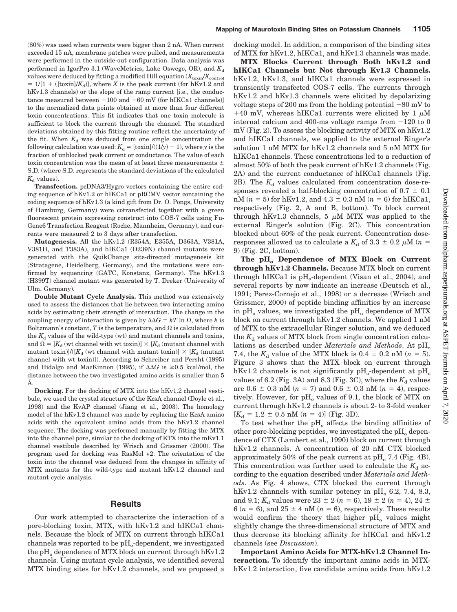(80%) was used when currents were bigger than 2 nA. When current exceeded 15 nA, membrane patches were pulled, and measurements were performed in the outside-out configuration. Data analysis was performed in IgorPro 3.1 (WaveMetrics, Lake Oswego, OR), and  $K_d$ values were deduced by fitting a modified Hill equation  $(X_{\text{toxin}}/X_{\text{control}})$  $= 1/[1 + ([toxin]/K_d)],$  where *X* is the peak current (for hKv1.2 and hKv1.3 channels) or the slope of the ramp current [i.e., the conductance measured between  $-100$  and  $-60$  mV (for hIKCa1 channels)] to the normalized data points obtained at more than four different toxin concentrations. This fit indicates that one toxin molecule is sufficient to block the current through the channel. The standard deviations obtained by this fitting routine reflect the uncertainty of the fit. When  $K_d$  was deduced from one single concentration the following calculation was used:  $K_d = [\tanh/((1/y) - 1)]$ , where *y* is the fraction of unblocked peak current or conductance. The value of each toxin concentration was the mean of at least three measurements  $\pm$ S.D. (where S.D. represents the standard deviations of the calculated  $K_d$  values).

**Transfection.** pcDNA3/Hygro vectors containing the entire coding sequence of hKv1.2 or hIKCa1 or pRCMV vector containing the coding sequence of hKv1.3 (a kind gift from Dr. O. Pongs, University of Hamburg, Germany) were cotransfected together with a green fluorescent protein expressing construct into COS-7 cells using Fu-Gene6 Transfection Reagent (Roche, Mannheim, Germany), and currents were measured 2 to 3 days after transfection.

**Mutagenesis.** All the hKv1.2 (R354A, E355A, D363A, V381A, V381H, and T383A), and hIKCa1 (D239N) channel mutants were generated with the QuikChange site-directed mutagenesis kit (Stratagene, Heidelberg, Germany), and the mutations were confirmed by sequencing (GATC, Konstanz, Germany). The hKv1.3 (H399T) channel mutant was generated by T. Dreker (University of Ulm, Germany).

**Double Mutant Cycle Analysis.** This method was extensively used to assess the distances that lie between two interacting amino acids by estimating their strength of interaction. The change in the coupling energy of interaction is given by  $\Delta\Delta G = kT \ln \Omega$ , where k is Boltzmann's constant,  $T$  is the temperature, and  $\Omega$  is calculated from the  $K_d$  values of the wild-type (wt) and mutant channels and toxins, and  $\Omega = [K_d$  (wt channel with wt toxin)]  $\times [K_d$  (mutant channel with mutant toxin)]/( $[K_d$  (wt channel with mutant toxin)]  $\times$   $[K_d$  (mutant channel with wt toxin)]). According to Schreiber and Fersht (1995) and Hidalgo and MacKinnon (1995), if  $\Delta\Delta G$  is  $\geq 0.5$  kcal/mol, the distance between the two investigated amino acids is smaller than 5 Å.

**Docking.** For the docking of MTX into the hKv1.2 channel vestibule, we used the crystal structure of the KcsA channel (Doyle et al., 1998) and the KvAP channel (Jiang et al., 2003). The homology model of the hKv1.2 channel was made by replacing the KcsA amino acids with the equivalent amino acids from the hKv1.2 channel sequence. The docking was performed manually by fitting the MTX into the channel pore, similar to the docking of KTX into the mKv1.1 channel vestibule described by Wrisch and Grissmer (2000). The program used for docking was RasMol v2. The orientation of the toxin into the channel was deduced from the changes in affinity of MTX mutants for the wild-type and mutant hKv1.2 channel and mutant cycle analysis.

# **Results**

Our work attempted to characterize the interaction of a pore-blocking toxin, MTX, with hKv1.2 and hIKCa1 channels. Because the block of MTX on current through hIKCa1 channels was reported to be  $pH_0$ -dependent, we investigated the  $pH_0$  dependence of MTX block on current through hKv1.2 channels. Using mutant cycle analysis, we identified several MTX binding sites for hKv1.2 channels, and we proposed a

docking model. In addition, a comparison of the binding sites of MTX for hKv1.2, hIKCa1, and hKv1.3 channels was made.

**MTX Blocks Current through Both hKv1.2 and hIKCa1 Channels but Not through Kv1.3 Channels.** hKv1.2, hKv1.3, and hIKCa1 channels were expressed in transiently transfected COS-7 cells. The currents through hKv1.2 and hKv1.3 channels were elicited by depolarizing voltage steps of 200 ms from the holding potential  $-80$  mV to +40 mV, whereas hIKCa1 currents were elicited by 1  $\mu$ M internal calcium and 400-ms voltage ramps from  $-120$  to 0 mV (Fig. 2). To assess the blocking activity of MTX on hKv1.2 and hIKCa1 channels, we applied to the external Ringer's solution 1 nM MTX for hKv1.2 channels and 5 nM MTX for hIKCa1 channels. These concentrations led to a reduction of almost 50% of both the peak current of hKv1.2 channels (Fig. 2A) and the current conductance of hIKCa1 channels (Fig. 2B). The  $K_d$  values calculated from concentration dose-responses revealed a half-blocking concentration of 0.7  $\pm$  0.1  $\rm nM$  ( $n=5$ ) for hKv1.2, and 4.3  $\pm$  0.3  $\rm nM$  ( $n=6$ ) for hIKCa1, respectively (Fig. 2, A and B, bottom). To block current through hKv1.3 channels, 5  $\mu$ M MTX was applied to the external Ringer's solution (Fig. 2C). This concentration blocked about 60% of the peak current. Concentration doseresponses allowed us to calculate a  $K_{\rm d}$  of 3.3  $\pm$  0.2  $\mu$ M (*n* = 9) (Fig. 2C, bottom).

The pH<sub>o</sub> Dependence of MTX Block on Current **through hKv1.2 Channels.** Because MTX block on current through hIKCa1 is  $pH_o$ -dependent (Visan et al., 2004), and several reports by now indicate an increase (Deutsch et al., 1991; Perez-Cornejo et al., 1998) or a decrease (Wrisch and Grissmer, 2000) of peptide binding affinities by an increase in  $pH_0$  values, we investigated the  $pH_0$  dependence of MTX block on current through hKv1.2 channels. We applied 1 nM of MTX to the extracellular Ringer solution, and we deduced the  $K_d$  values of MTX block from single concentration calculations as described under *Materials and Methods*. At pH<sub>o</sub> 7.4, the  $K_d$  value of the MTX block is  $0.4 \pm 0.2$  nM ( $n = 5$ ). Figure 3 shows that the MTX block on current through hKv1.2 channels is not significantly  $pH_0$ -dependent at  $pH_0$ values of 6.2 (Fig. 3A) and 8.3 (Fig. 3C), where the  $K_d$  values are  $0.6 \pm 0.3$  nM ( $n = 7$ ) and  $0.6 \pm 0.3$  nM ( $n = 4$ ), respectively. However, for  $pH_0$  values of 9.1, the block of MTX on current through hKv1.2 channels is about 2- to 3-fold weaker  $[K_d = 1.2 \pm 0.5 \text{ nM } (n = 4)] \text{ (Fig. 3D)}.$ 

To test whether the  $\rm pH_{o}$  affects the binding affinities of other pore-blocking peptides, we investigated the  $\rm pH_{o}$  dependence of CTX (Lambert et al., 1990) block on current through hKv1.2 channels. A concentration of 20 nM CTX blocked approximately 50% of the peak current at  $\text{pH}_o$  7.4 (Fig. 4B). This concentration was further used to calculate the  $K_d$  according to the equation described under *Materials and Methods*. As Fig. 4 shows, CTX blocked the current through hKv1.2 channels with similar potency in  $\rm pH_{o}$  6.2, 7.4, 8.3, and 9.1;  $K_d$  values were 23  $\pm$  2 ( $n = 6$ ), 19  $\pm$  2 ( $n = 4$ ), 24  $\pm$  $6 (n = 6)$ , and  $25 \pm 4$  nM  $(n = 6)$ , respectively. These results would confirm the theory that higher  $pH_0$  values might slightly change the three-dimensional structure of MTX and thus decrease its blocking affinity for hIKCa1 and hKv1.2 channels (see *Discussion*).

**Important Amino Acids for MTX-hKv1.2 Channel Interaction.** To identify the important amino acids in MTXhKv1.2 interaction, five candidate amino acids from hKv1.2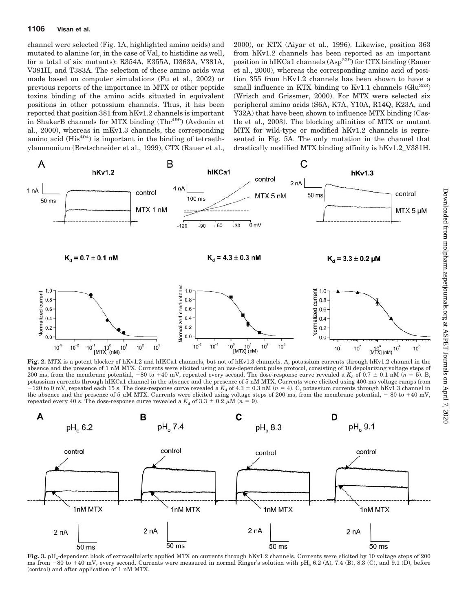### **1106 Visan et al.**

channel were selected (Fig. 1A, highlighted amino acids) and mutated to alanine (or, in the case of Val, to histidine as well, for a total of six mutants): R354A, E355A, D363A, V381A, V381H, and T383A. The selection of these amino acids was made based on computer simulations (Fu et al., 2002) or previous reports of the importance in MTX or other peptide toxins binding of the amino acids situated in equivalent positions in other potassium channels. Thus, it has been reported that position 381 from hKv1.2 channels is important in ShakerB channels for MTX binding (Thr<sup>499</sup>) (Avdonin et al., 2000), whereas in mKv1.3 channels, the corresponding amino acid  $(His^{404})$  is important in the binding of tetraethylammonium (Bretschneider et al., 1999), CTX (Rauer et al.,

2000), or KTX (Aiyar et al., 1996). Likewise, position 363 from hKv1.2 channels has been reported as an important position in hIKCa1 channels (Asp<sup>239</sup>) for CTX binding (Rauer et al., 2000), whereas the corresponding amino acid of position 355 from hKv1.2 channels has been shown to have a small influence in KTX binding to Kv1.1 channels  $(G\mu^{353})$ (Wrisch and Grissmer, 2000). For MTX were selected six peripheral amino acids (S6A, K7A, Y10A, R14Q, K23A, and Y32A) that have been shown to influence MTX binding (Castle et al., 2003). The blocking affinities of MTX or mutant MTX for wild-type or modified hKv1.2 channels is represented in Fig. 5A. The only mutation in the channel that drastically modified MTX binding affinity is hKv1.2\_V381H.



**Fig. 2.** MTX is a potent blocker of hKv1.2 and hIKCa1 channels, but not of hKv1.3 channels. A, potassium currents through hKv1.2 channel in the absence and the presence of 1 nM MTX. Currents were elicited using an use-dependent pulse protocol, consisting of 10 depolarizing voltage steps of 200 ms, from the membrane potential,  $-80$  to  $+40$  mV, repeated every second. The dose-response curve revealed a  $K_d$  of  $0.7 \pm 0.1$  nM ( $n = 5$ ). B, potassium currents through hIKCa1 channel in the absence and the presence of 5 nM MTX. Currents were elicited using 400-ms voltage ramps from  $-120$  to 0 mV, repeated each 15 s. The dose-response curve revealed a  $K_d$  of 4.3  $\pm$  0.3 nM ( $n=4$ ). C, potassium currents through hKv1.3 channel in the absence and the presence of 5  $\mu$ M MTX. Currents were elicited using voltage steps of 200 ms, from the membrane potential,  $-80$  to  $+40$  mV, repeated every 40 s. The dose-response curve revealed a  $K_d$  of 3.3  $\pm$  0.2  $\mu$ M (*n* = 9).



Fig. 3. pH<sub>o</sub>-dependent block of extracellularly applied MTX on currents through hKv1.2 channels. Currents were elicited by 10 voltage steps of 200 ms from  $-80$  to  $+40$  mV, every second. Currents were measured in normal Ringer's solution with pH<sub>0</sub> 6.2 (A), 7.4 (B), 8.3 (C), and 9.1 (D), before (control) and after application of 1 nM MTX.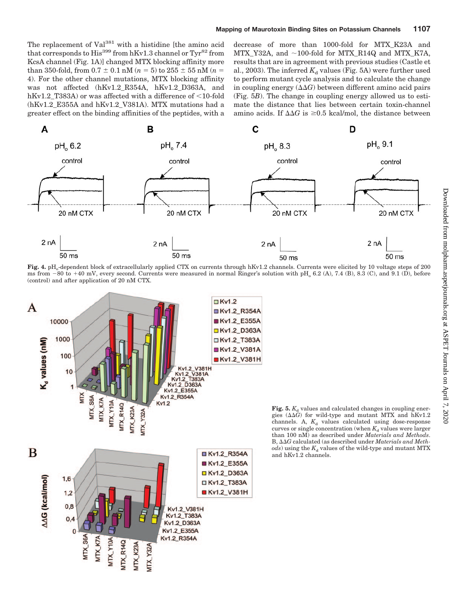The replacement of Val<sup>381</sup> with a histidine [the amino acid that corresponds to  $His<sup>399</sup>$  from hKv1.3 channel or Tyr<sup>82</sup> from KcsA channel (Fig. 1A)] changed MTX blocking affinity more  ${\rm than~ 350\text{-}fold, from~} 0.7 \pm 0.1 \ {\rm nM}$  ( $n=5)$  to  $255 \pm 55 \ {\rm nM}$  ( $n=5$ 4). For the other channel mutations, MTX blocking affinity was not affected (hKv1.2 R354A, hKv1.2 D363A, and hKv1.2\_T383A) or was affected with a difference of  $\leq$ 10-fold (hKv1.2\_E355A and hKv1.2\_V381A). MTX mutations had a greater effect on the binding affinities of the peptides, with a

decrease of more than 1000-fold for MTX\_K23A and MTX\_Y32A, and  $\sim$ 100-fold for MTX\_R14Q and MTX\_K7A, results that are in agreement with previous studies (Castle et al., 2003). The inferred  $K_d$  values (Fig. 5A) were further used to perform mutant cycle analysis and to calculate the change in coupling energy  $(\Delta \Delta G)$  between different amino acid pairs (Fig. 5*B*). The change in coupling energy allowed us to estimate the distance that lies between certain toxin-channel amino acids. If  $\Delta\Delta G$  is  $\geq 0.5$  kcal/mol, the distance between



Fig. 4. pH<sub>o</sub>-dependent block of extracellularly applied CTX on currents through hKv1.2 channels. Currents were elicited by 10 voltage steps of 200 ms from  $-80$  to  $+40$  mV, every second. Currents were measured in normal Ringer's solution with pH<sub>0</sub> 6.2 (A), 7.4 (B), 8.3 (C), and 9.1 (D), before (control) and after application of 20 nM CTX.



**Fig. 5.**  $K_d$  values and calculated changes in coupling energies  $(\Delta \Delta G)$  for wild-type and mutant MTX and hKv1.2 channels. A,  $K_d$  values calculated using dose-response curves or single concentration (when  $K_d$  values were larger than 100 nM) as described under *Materials and Methods*. B,  $\Delta\Delta G$  calculated (as described under *Materials and Meth*- $\omega$ *ds*) using the  $K_d$  values of the wild-type and mutant MTX and hKv1.2 channels.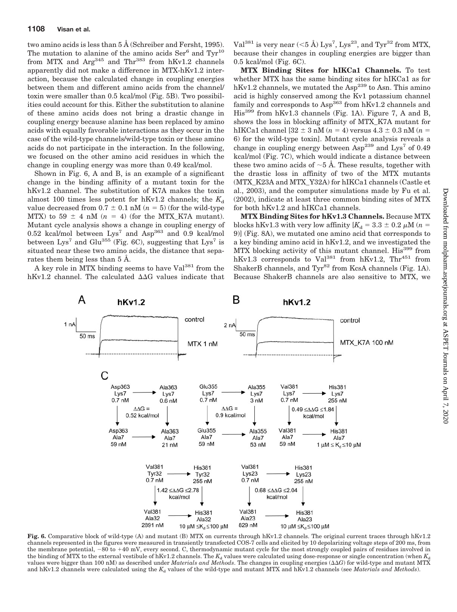two amino acids is less than 5 Å (Schreiber and Fersht, 1995). The mutation to alanine of the amino acids  $\text{Ser}^6$  and  $\text{Tr}^{10}$ from MTX and  $Arg^{345}$  and Thr<sup>383</sup> from hKv1.2 channels apparently did not make a difference in MTX-hKv1.2 interaction, because the calculated change in coupling energies between them and different amino acids from the channel/ toxin were smaller than 0.5 kcal/mol (Fig. 5B). Two possibilities could account for this. Either the substitution to alanine of these amino acids does not bring a drastic change in coupling energy because alanine has been replaced by amino acids with equally favorable interactions as they occur in the case of the wild-type channels/wild-type toxin or these amino acids do not participate in the interaction. In the following, we focused on the other amino acid residues in which the change in coupling energy was more than 0.49 kcal/mol.

Shown in Fig. 6, A and B, is an example of a significant change in the binding affinity of a mutant toxin for the hKv1.2 channel. The substitution of K7A makes the toxin almost 100 times less potent for hKv1.2 channels; the  $K_d$ value decreased from  $0.7 \pm 0.1$  nM  $(n = 5)$  (for the wild-type MTX) to  $59 \pm 4$  nM ( $n = 4$ ) (for the MTX\_K7A mutant). Mutant cycle analysis shows a change in coupling energy of 0.52 kcal/mol between  $Lys^7$  and  $Asp^{363}$  and 0.9 kcal/mol between Lys<sup>7</sup> and Glu<sup>355</sup> (Fig. 6C), suggesting that Lys<sup>7</sup> is situated near these two amino acids, the distance that separates them being less than 5 Å.

A key role in MTX binding seems to have Val<sup>381</sup> from the hKv1.2 channel. The calculated  $\Delta\Delta G$  values indicate that

Val $^{381}$  is very near (<5 Å) Lys $^7$ , Lys $^{23}$ , and Tyr $^{32}$  from MTX, because their changes in coupling energies are bigger than 0.5 kcal/mol (Fig. 6C).

**MTX Binding Sites for hIKCa1 Channels.** To test whether MTX has the same binding sites for hIKCa1 as for hKv1.2 channels, we mutated the  $\text{Asp}^{239}$  to Asn. This amino acid is highly conserved among the Kv1 potassium channel family and corresponds to  $Asp^{363}$  from  $hKv1.2$  channels and His399 from hKv1.3 channels (Fig. 1A). Figure 7, A and B, shows the loss in blocking affinity of MTX\_K7A mutant for  $h$ IKCa1 channel [32  $\pm$  3 nM ( $n = 4$ ) versus 4.3  $\pm$  0.3 nM ( $n = 1$ 6) for the wild-type toxin]. Mutant cycle analysis reveals a change in coupling energy between  $\text{Asp}^{239}$  and  $\text{Lys}^7$  of 0.49 kcal/mol (Fig. 7C), which would indicate a distance between these two amino acids of  $\sim$  5 Å. These results, together with the drastic loss in affinity of two of the MTX mutants (MTX\_K23A and MTX\_Y32A) for hIKCa1 channels (Castle et al., 2003), and the computer simulations made by Fu et al. (2002), indicate at least three common binding sites of MTX for both hKv1.2 and hIKCa1 channels.

**MTX Binding Sites for hKv1.3 Channels.** Because MTX blocks hKv1.3 with very low affinity  $[K_d = 3.3 \pm 0.2 \,\mu\text{M}$  ( $n =$ 9)] (Fig. 8A), we mutated one amino acid that corresponds to a key binding amino acid in hKv1.2, and we investigated the MTX blocking activity of this mutant channel. His<sup>399</sup> from hKv1.3 corresponds to Val<sup>381</sup> from hKv1.2, Thr<sup>451</sup> from ShakerB channels, and  $Tyr^{82}$  from KcsA channels (Fig. 1A). Because ShakerB channels are also sensitive to MTX, we



**Fig. 6.** Comparative block of wild-type (A) and mutant (B) MTX on currents through hKv1.2 channels. The original current traces through hKv1.2 channels represented in the figures were measured in transiently transfected COS-7 cells and elicited by 10 depolarizing voltage steps of 200 ms, from the membrane potential, -80 to +40 mV, every second. C, thermodynamic mutant cycle for the most strongly coupled pairs of residues involved in the binding of MTX to the external vestibule of hKv1.2 channels. The  $K_d$  values were calculated using dose-response or single concentration (when  $K_d$ values were bigger than 100 nM) as described under *Materials and Methods*. The changes in coupling energies ( $\Delta\Delta G$ ) for wild-type and mutant MTX and hKv1.2 channels were calculated using the  $K_d$  values of the wild-type and mutant MTX and hKv1.2 channels (see *Materials and Methods*).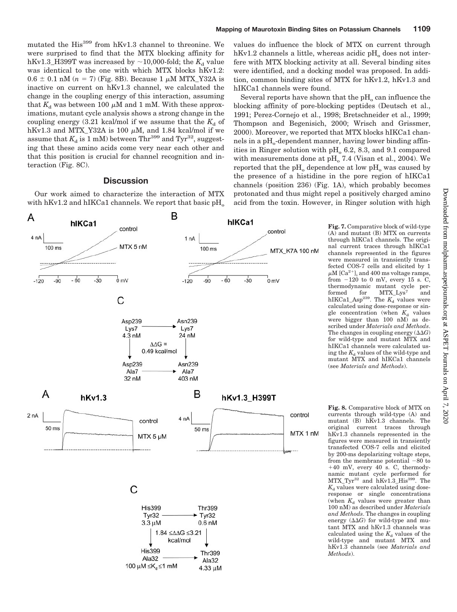mutated the His<sup>399</sup> from hKv1.3 channel to threonine. We were surprised to find that the MTX blocking affinity for hKv1.3\_H399T was increased by  $\sim$ 10,000-fold; the  $K_d$  value was identical to the one with which MTX blocks hKv1.2:  $0.6 \pm 0.1$  nM ( $n = 7$ ) (Fig. 8B). Because 1  $\mu$ M MTX\_Y32A is inactive on current on hKv1.3 channel, we calculated the change in the coupling energy of this interaction, assuming that  $K_d$  was between 100  $\mu$ M and 1 mM. With these approximations, mutant cycle analysis shows a strong change in the coupling energy  $(3.21 \text{ kcal/mol} \text{ if we assume that the } K_d \text{ of }$ hKv1.3 and MTX\_Y32A is 100  $\mu$ M, and 1.84 kcal/mol if we assume that  $K_d$  is 1 mM) between Thr<sup>399</sup> and Tyr<sup>32</sup>, suggesting that these amino acids come very near each other and that this position is crucial for channel recognition and interaction (Fig. 8C).

# **Discussion**

Our work aimed to characterize the interaction of MTX with hKv1.2 and hIKCa1 channels. We report that basic  $\rm pH_{o}$ 

values do influence the block of MTX on current through  $hKv1.2$  channels a little, whereas acidic  $pH<sub>o</sub>$  does not interfere with MTX blocking activity at all. Several binding sites were identified, and a docking model was proposed. In addition, common binding sites of MTX for hKv1.2, hKv1.3 and hIKCa1 channels were found.

Several reports have shown that the  $pH<sub>o</sub>$  can influence the blocking affinity of pore-blocking peptides (Deutsch et al., 1991; Perez-Cornejo et al., 1998; Bretschneider et al., 1999; Thompson and Begenisich, 2000; Wrisch and Grissmer, 2000). Moreover, we reported that MTX blocks hIKCa1 channels in a pH<sub>o</sub>-dependent manner, having lower binding affinities in Ringer solution with  $pH_0$  6.2, 8.3, and 9.1 compared with measurements done at  $pH<sub>o</sub>$  7.4 (Visan et al., 2004). We reported that the  $pH_0$  dependence at low  $pH_0$  was caused by the presence of a histidine in the pore region of hIKCa1 channels (position 236) (Fig. 1A), which probably becomes protonated and thus might repel a positively charged amino acid from the toxin. However, in Ringer solution with high



**Fig. 7.** Comparative block of wild-type (A) and mutant (B) MTX on currents through hIKCa1 channels. The original current traces through hIKCa1 channels represented in the figures were measured in transiently transfected COS-7 cells and elicited by 1  $\mu$ M [Ca<sup>2+</sup>], and 400 ms voltage ramps, from  $-120$  to 0 mV, every 15 s. C, thermodynamic mutant cycle performed for MTX\_Lys<sup>7</sup> and  $h$ IKCa1\_Asp<sup>239</sup>. The  $K_d$  values were calculated using dose-response or single concentration (when  $K_d$  values were bigger than 100 nM) as described under *Materials and Methods*. The changes in coupling energy  $(\Delta \Delta G)$ for wild-type and mutant MTX and hIKCa1 channels were calculated using the  $K_d$  values of the wild-type and mutant MTX and hIKCa1 channels (see *Materials and Methods*).

**Fig. 8.** Comparative block of MTX on currents through wild-type (A) and mutant (B) hKv1.3 channels. The original current traces through hKv1.3 channels represented in the figures were measured in transiently transfected COS-7 cells and elicited by 200-ms depolarizing voltage steps, from the membrane potential  $-80$  to 40 mV, every 40 s. C, thermodynamic mutant cycle performed for MTX\_Tyr<sup>32</sup> and hKv1.3\_His<sup>399</sup>. The  $K_d$  values were calculated using doseresponse or single concentrations (when  $K_d$  values were greater than 100 nM) as described under *Materials and Methods*. The changes in coupling energy  $(\Delta \Delta G)$  for wild-type and mutant MTX and hKv1.3 channels was calculated using the  $K_d$  values of the wild-type and mutant MTX and hKv1.3 channels (see *Materials and Methods*).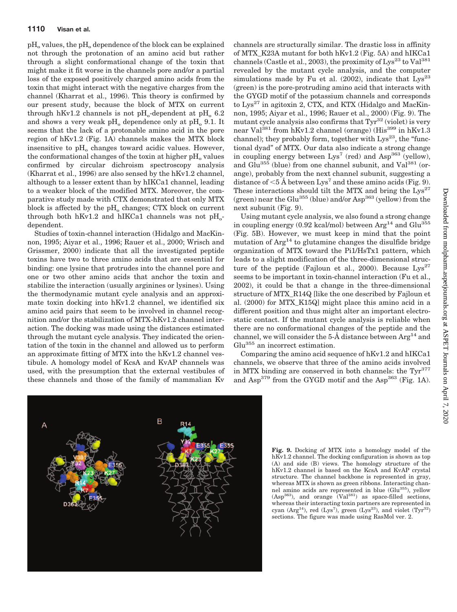$pH<sub>o</sub>$  values, the  $pH<sub>o</sub>$  dependence of the block can be explained not through the protonation of an amino acid but rather through a slight conformational change of the toxin that might make it fit worse in the channels pore and/or a partial loss of the exposed positively charged amino acids from the toxin that might interact with the negative charges from the channel (Kharrat et al., 1996). This theory is confirmed by our present study, because the block of MTX on current through hKv1.2 channels is not pH<sub>o</sub>-dependent at pH<sub>0</sub> 6.2 and shows a very weak  $pH_0$  dependence only at  $pH_0$  9.1. It seems that the lack of a protonable amino acid in the pore region of hKv1.2 (Fig. 1A) channels makes the MTX block insensitive to  $pH_0$  changes toward acidic values. However, the conformational changes of the toxin at higher  $pH<sub>o</sub>$  values confirmed by circular dichroism spectroscopy analysis (Kharrat et al., 1996) are also sensed by the hKv1.2 channel, although to a lesser extent than by hIKCa1 channel, leading to a weaker block of the modified MTX. Moreover, the comparative study made with CTX demonstrated that only MTX block is affected by the  $pH_0$  changes; CTX block on current through both hKv1.2 and hIKCa1 channels was not  $pH_{o}$ dependent.

Studies of toxin-channel interaction (Hidalgo and MacKinnon, 1995; Aiyar et al., 1996; Rauer et al., 2000; Wrisch and Grissmer, 2000) indicate that all the investigated peptide toxins have two to three amino acids that are essential for binding: one lysine that protrudes into the channel pore and one or two other amino acids that anchor the toxin and stabilize the interaction (usually arginines or lysines). Using the thermodynamic mutant cycle analysis and an approximate toxin docking into hKv1.2 channel, we identified six amino acid pairs that seem to be involved in channel recognition and/or the stabilization of MTX-hKv1.2 channel interaction. The docking was made using the distances estimated through the mutant cycle analysis. They indicated the orientation of the toxin in the channel and allowed us to perform an approximate fitting of MTX into the hKv1.2 channel vestibule. A homology model of KcsA and KvAP channels was used, with the presumption that the external vestibules of these channels and those of the family of mammalian Kv channels are structurally similar. The drastic loss in affinity of MTX\_K23A mutant for both hKv1.2 (Fig. 5A) and hIKCa1 channels (Castle et al., 2003), the proximity of  $Lys^{23}$  to  $Val^{381}$ revealed by the mutant cycle analysis, and the computer simulations made by Fu et al.  $(2002)$ , indicate that  $Lys^{23}$ (green) is the pore-protruding amino acid that interacts with the GYGD motif of the potassium channels and corresponds to  $Lys^{27}$  in agitoxin 2, CTX, and KTX (Hidalgo and MacKinnon, 1995; Aiyar et al., 1996; Rauer et al., 2000) (Fig. 9). The mutant cycle analysis also confirms that  $Tyr^{32}$  (violet) is very near Val<sup>381</sup> from hKv1.2 channel (orange) (His<sup>399</sup> in hKv1.3 channel); they probably form, together with  $Lys^{23}$ , the "functional dyad" of MTX. Our data also indicate a strong change in coupling energy between  $Lys^7$  (red) and  $Asp^{363}$  (yellow), and Glu $^{355}$  (blue) from one channel subunit, and Val<sup>381</sup> (orange), probably from the next channel subunit, suggesting a distance of  $<$ 5 Å between Lys<sup>7</sup> and these amino acids (Fig. 9). These interactions should tilt the MTX and bring the  $Lys^{27}$ (green) near the Glu<sup>355</sup> (blue) and/or  $\text{Asp}^{363}$  (yellow) from the next subunit (Fig. 9).

Using mutant cycle analysis, we also found a strong change in coupling energy (0.92 kcal/mol) between  $Arg^{14}$  and  $Glu^{355}$ (Fig. 5B). However, we must keep in mind that the point mutation of  $Arg<sup>14</sup>$  to glutamine changes the disulfide bridge organization of MTX toward the Pi1/HsTx1 pattern, which leads to a slight modification of the three-dimensional structure of the peptide (Fajloun et al., 2000). Because  $Lys^{27}$ seems to be important in toxin-channel interaction (Fu et al., 2002), it could be that a change in the three-dimensional structure of MTX\_R14Q [like the one described by Fajloun et al. (2000) for MTX\_K15Q] might place this amino acid in a different position and thus might alter an important electrostatic contact. If the mutant cycle analysis is reliable when there are no conformational changes of the peptide and the channel, we will consider the  $5-\text{\AA}$  distance between  $\text{Arg}^{14}$  and Glu<sup>355</sup> an incorrect estimation.

Comparing the amino acid sequence of hKv1.2 and hIKCa1 channels, we observe that three of the amino acids involved in MTX binding are conserved in both channels: the Tyr<sup>377</sup> and  $Asp^{379}$  from the GYGD motif and the  $Asp^{363}$  (Fig. 1A).



**Fig. 9.** Docking of MTX into a homology model of the hKv1.2 channel. The docking configuration is shown as top (A) and side (B) views. The homology structure of the hKv1.2 channel is based on the KcsA and KvAP crystal structure. The channel backbone is represented in gray, whereas MTX is shown as green ribbons. Interacting channel amino acids are represented in blue (Glu355), yellow  $(Asp<sup>363</sup>)$ , and orange  $(Val<sup>381</sup>)$  as space-filled sections, whereas their interacting toxin partners are represented in cyan (Arg<sup>14</sup>), red (Lys<sup>7</sup>), green (Lys<sup>23</sup>), and violet (Tyr<sup>32</sup>) sections. The figure was made using RasMol ver. 2.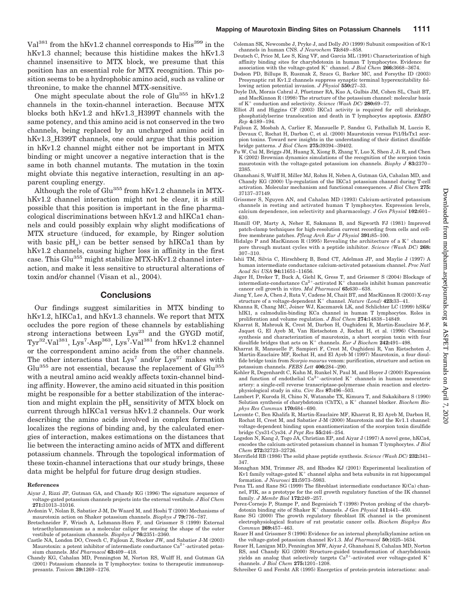Val<sup>381</sup> from the hKv1.2 channel corresponds to His<sup>399</sup> in the hKv1.3 channel; because this histidine makes the hKv1.3 channel insensitive to MTX block, we presume that this position has an essential role for MTX recognition. This position seems to be a hydrophobic amino acid, such as valine or threonine, to make the channel MTX-sensitive.

One might speculate about the role of Glu<sup>355</sup> in hKv1.2 channels in the toxin-channel interaction. Because MTX blocks both hKv1.2 and hKv1.3\_H399T channels with the same potency, and this amino acid is not conserved in the two channels, being replaced by an uncharged amino acid in hKv1.3\_H399T channels, one could argue that this position in hKv1.2 channel might either not be important in MTX binding or might uncover a negative interaction that is the same in both channel mutants. The mutation in the toxin might obviate this negative interaction, resulting in an apparent coupling energy.

Although the role of Glu355 from hKv1.2 channels in MTXhKv1.2 channel interaction might not be clear, it is still possible that this position is important in the fine pharmacological discriminations between hKv1.2 and hIKCa1 channels and could possibly explain why slight modifications of MTX structure (induced, for example, by Ringer solution with basic  $pH_0$  can be better sensed by hIKCa1 than by hKv1.2 channels, causing higher loss in affinity in the first case. This Glu<sup>355</sup> might stabilize MTX-hKv1.2 channel interaction, and make it less sensitive to structural alterations of toxin and/or channel (Visan et al., 2004).

# **Conclusions**

Our findings suggest similarities in MTX binding to hKv1.2, hIKCa1, and hKv1.3 channels. We report that MTX occludes the pore region of these channels by establishing strong interactions between Lys<sup>23</sup> and the GYGD motif,  $\text{Tyr}^{32}$ -Val $^{381}$ , Lys<sup>7</sup>-Asp<sup>363</sup>, Lys<sup>7</sup>-Val $^{381}$  from hKv1.2 channel or the correspondent amino acids from the other channels. The other interactions that  $Lys^7$  and/or  $Lys^{27}$  makes with  $Glu<sup>355</sup>$  are not essential, because the replacement of  $Glu<sup>355</sup>$ with a neutral amino acid weakly affects toxin-channel binding affinity. However, the amino acid situated in this position might be responsible for a better stabilization of the interaction and might explain the pH<sub>o</sub> sensitivity of MTX block on current through hIKCa1 versus hKv1.2 channels. Our work describing the amino acids involved in complex formation localizes the regions of binding and, by the calculated energies of interaction, makes estimations on the distances that lie between the interacting amino acids of MTX and different potassium channels. Through the topological information of these toxin-channel interactions that our study brings, these data might be helpful for future drug design studies.

#### **References**

- Aiyar J, Rizzi JP, Gutman GA, and Chandy KG (1996) The signature sequence of voltage-gated potassium channels projects into the external vestibule. *J Biol Chem* **271:**31013–31016.
- Avdonin V, Nolan B, Sabatier J-M, De Waard M, and Hoshi T (2000) Mechanisms of maurotoxin action on Shaker potassium channels. *Biophys J* **79:**776 –787.
- Bretschneider F, Wrisch A, Lehmann-Horn F, and Grissmer S (1999) External tetraethylammonium as a molecular caliper for sensing the shape of the outer vestibule of potassium channels. *Biophys J* **76:**2351–2360.
- Castle NA, London DO, Creech C, Fajloun Z, Stocker JW, and Sabatier J-M (2003) Maurotoxin: a potent inhibitor of intermediate conductance  $Ca^{2+}$ -activated potassium channels. *Mol Pharmacol* **63:**409 – 418.
- Chandy KG, Cahalan MD, Pennington M, Norton RS, Wulff H, and Gutman GA (2001) Potassium channels in T lymphocytes: toxins to therapeutic immunosuppresants. *Toxicon* **39:**1269 –1276.
- Coleman SK, Newcombe J, Pryke J, and Dolly JO (1999) Subunit composition of Kv1 channels in human CNS. *J Neurochem* **73:**849 – 858.
- Deutsch C, Price M, Lee S, King VF, and Garcia ML (1991) Characterization of high affinity binding sites for charybdotoxin in human T lymphocytes. Evidence for association with the voltage-gated K<sup>+</sup> channel. *J Biol Chem* 266:3668–3674.
- Dodson PD, Billups B, Rusznak Z, Szucs G, Barker MC, and Forsythe ID (2003) Presynaptic rat Kv1.2 channels suppress synaptic terminal hyperexcitability following action potential invasion. *J Physiol* **550:**27–33.
- Doyle DA, Morais Cabral J, Pfuetzner RA, Kuo A, Gulbis JM, Cohen SL, Chait BT, and MacKinnon R (1998) The structure of the potassium channel: molecular basis of K<sup>+</sup> conduction and selectivity. *Science* (Wash DC) **280:**69-77.
- Elliot JI and Higgins CF (2003) IKCa1 activity is required for cell shrinkage, phosphatidylserine translocation and death in T lymphocytes apoptosis. *EMBO Rep* **4:**189 –194.
- Fajloun Z, Mosbah A, Carlier E, Mansuelle P, Sandoz G, Fathallah M, Luccio E, Devaux C, Rochat H, Darbon C, et al. (2000) Maurotoxin versus Pi1/HsTx1 scorpion toxins. Toward new insights in the understanding of their distinct disulfide bridge patterns. *J Biol Chem* **275:**39394 –39402.
- Fu W, Cui M, Briggs JM, Huang X, Xiong B, Zhang Y, Luo X, Shen J, Ji R, and Chen K (2002) Brownian dynamics simulations of the recognition of the scorpion toxin maurotoxin with the voltage-gated potassium ion channels. *Biophy J* **83:**2370 – 2385.
- Ghanshani S, Wulff H, Miller MJ, Rohm H, Neben A, Gutman GA, Cahalan MD, and Chandy KG (2000) Up-regulation of the IKCa1 potassium channel during T-cell activation. Molecular mechanism and functional consequences. *J Biol Chem* **275:** 37137–37149.
- Grissmer S, Nguyen AN, and Cahalan MD (1993) Calcium-activated potassium channels in resting and activated human T lymphocytes. Expression levels, calcium dependence, ion selectivity and pharmacology. *J Gen Physiol* **102:**601– 630.
- Hamill OP, Marty A, Neher E, Sakmann B, and Sigworth FJ (1981) Improved patch-clamp techniques for high-resolution current recording from cells and cellfree membrane patches. *Pfleug Arch Eur J Physiol* **391:**85–100.
- Hidalgo P and MacKinnon R (1995) Revealing the architecture of a  $K^+$  channel pore through mutant cycles with a peptide inhibitor. *Science (Wash DC)* **268:**  $307 - 310$ .
- Ishii TM, Silvia C, Hirschberg B, Bond CT, Adelman JP, and Maylie J (1997) A human intermediate conductance calcium-activated potassium channel. *Proc Natl Acad Sci USA* **94:**11651–11656.
- Jäger H, Dreker T, Buck A, Giehl K, Gress T, and Grissmer S (2004) Blockage of intermediate-conductance  $Ca^{2+}$ -activated  $K^+$  channels inhibit human pancreatic cancer cell growth in vitro. *Mol Pharmacol* **65:**630 – 638.
- Jiang Y, Lee A, Chen J, Ruta V, Cadene M, Chait BT, and MacKinnon R (2003) X-ray structure of a voltage-dependent  $\mathrm{K}^+$  channel.  $\emph{Natural}$   $(London)$   $\bf 423:33-41.$
- Khanna R, Chang MC, Joiner WJ, Kaczmarek LK, and Schlichter LC (1999) hSK4/ hIK1, a calmodulin-binding KCa channel in human T lymphocytes. Roles in proliferation and volume regulation. *J Biol Chem* **274:**14838 –14849.
- Kharrat R, Mabrouk K, Crest M, Darbon H, Oughideni R, Martin-Eauclaire M-F, Jaquet G, El Ayeb M, Van Rietschoten J, Rochat H, et al. (1996) Chemical synthesis and characterization of maurotoxin, a short scorpion toxin with four disulfide bridges that acts on  $K^+$  channels. *Eur J Biochem* 242:491-498.
- Kharrat R, Mansuelle P, Sampieri F, Crest M, Oughideni R, Van Rietschoten J, Martin-Eauclaire MF, Rochat H, and El Ayeb M (1997) Maurotoxin, a four disulfide bridge toxin from *Scorpio maurus* venom: purification, structure and action on potassium channels. *FEBS Lett* **406:**284 –290.
- Kohler R, Degenhardt C, Kuhn M, Runkel N, Paul M, and Hoyer J (2000) Expression<br>and function of endothelial  $Ca^{2+}$ -activated  $K^+$  channels in human mesenteric artery: a single-cell reverse transcriptase-polymerase chain reaction and electrophysiological study in situ. *Circ Res* **87:**496 –503.
- Lambert P, Kuroda H, Chino N, Watanabe TX, Kimura T, and Sakakibara S (1990) Solution synthesis of charybdotoxin (ChTX), a  $\mathrm{K}^+$  channel blocker.  $\emph{Biochem Bio-}$ *phys Res Commun* **170:**684 – 690.
- Lecomte C, Ben Khalifa R, Martin-Eauclaire MF, Kharrat R, El Ayeb M, Darbon H, Rochat H, Crest M, and Sabatier J-M (2000) Maurotoxin and the Kv1.1 channel: voltage-dependent binding upon enantiomerization of the scorpion toxin disulfide bridge Cys31-Cys34. *J Pept Res* **55:**246 –254.
- Logsdon N, Kang J, Togo JA, Christian EP, and Aiyar J (1997) A novel gene, hKCa4, encodes the calcium-activated potassium channel in human T lymphocytes. *J Biol Chem* **272:**32723–32726.
- Merrifield RB (1986) The solid phase peptide synthesis. *Science (Wash DC)* **232:**341– 347.
- Monaghan MM, Trimmer JS, and Rhodes KJ (2001) Experimental localization of Kv1 family voltage-gated  $K^+$  channel alpha and beta subunits in rat hippocampal formation. *J Neurosci* **21:**5973–5983.
- Pena TL and Rane SG (1999) The fibroblast intermediate conductance K(Ca) channel, FIK, as a prototype for the cell growth regulatory function of the IK channel family. *J Membr Biol* **172:**249 –257.
- Perez-Cornejo P, Stampe P, and Begenisich T (1998) Proton probing of the charybdotoxin binding site of Shaker K<sup>+</sup> channels. *J Gen Physiol* 111:441-450.
- Rane SG (2000) The growth regulatory fibroblast IK channel is the prominent electrophysiological feature of rat prostatic cancer cells. *Biochem Biophys Res Commun* **269:**457– 463.
- Rauer H and Grissmer S (1996) Evidence for an internal phenylalkylamine action on the voltage-gated potassium channel Kv1.3. *Mol Pharmacol* **50:**1625–1634.
- Rauer H, Lanigan MD, Pennington MW, Aiyar J, Ghanshani S, Cahalan MD, Norton RS, and Chandy KG (2000) Structure-guided transformation of charybdotoxin yields an analog that selectively targets  $Ca^{2+}$ -activated over voltage-gated  $K^+$ channels. *J Biol Chem* **275:**1201–1208.
- Schreiber G and Fersht AR (1995) Energetics of protein-protein interactions: anal-